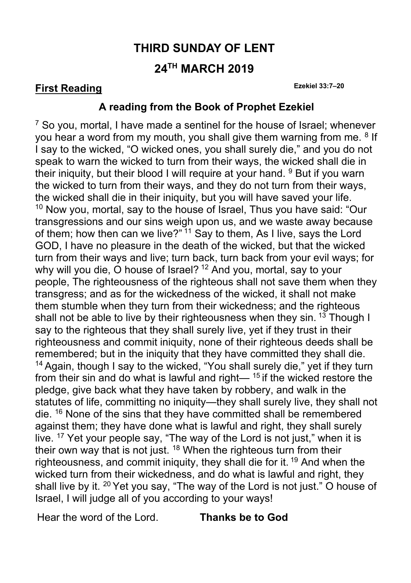# **THIRD SUNDAY OF LENT 24TH MARCH 2019**

#### **First Reading Ezekiel 33:7–20**

#### **A reading from the Book of Prophet Ezekiel**

 $7$  So you, mortal, I have made a sentinel for the house of Israel; whenever you hear a word from my mouth, you shall give them warning from me. <sup>8</sup> If I say to the wicked, "O wicked ones, you shall surely die," and you do not speak to warn the wicked to turn from their ways, the wicked shall die in their iniquity, but their blood I will require at your hand.  $9$  But if you warn the wicked to turn from their ways, and they do not turn from their ways, the wicked shall die in their iniquity, but you will have saved your life.  $10$  Now you, mortal, say to the house of Israel, Thus you have said: "Our transgressions and our sins weigh upon us, and we waste away because of them; how then can we live?"<sup>11</sup> Say to them, As I live, says the Lord GOD, I have no pleasure in the death of the wicked, but that the wicked turn from their ways and live; turn back, turn back from your evil ways; for why will you die, O house of Israel?<sup>12</sup> And you, mortal, say to your people, The righteousness of the righteous shall not save them when they transgress; and as for the wickedness of the wicked, it shall not make them stumble when they turn from their wickedness; and the righteous shall not be able to live by their righteousness when they sin.  $13$  Though I say to the righteous that they shall surely live, yet if they trust in their righteousness and commit iniquity, none of their righteous deeds shall be remembered; but in the iniquity that they have committed they shall die.  $14$  Again, though I say to the wicked, "You shall surely die," yet if they turn from their sin and do what is lawful and right—  $15$  if the wicked restore the pledge, give back what they have taken by robbery, and walk in the statutes of life, committing no iniquity—they shall surely live, they shall not die. <sup>16</sup> None of the sins that they have committed shall be remembered against them; they have done what is lawful and right, they shall surely live. <sup>17</sup> Yet your people say, "The way of the Lord is not just," when it is their own way that is not just.  $18$  When the righteous turn from their righteousness, and commit iniquity, they shall die for it.  $19$  And when the wicked turn from their wickedness, and do what is lawful and right, they shall live by it. 20 Yet you say, "The way of the Lord is not just." O house of Israel, I will judge all of you according to your ways!

Hear the word of the Lord. **Thanks be to God**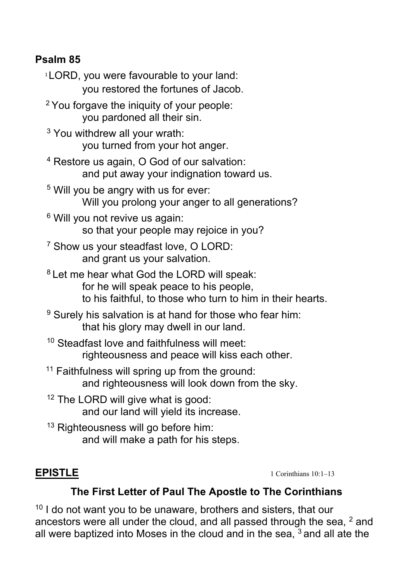### **Psalm 85**

- 1LORD, you were favourable to your land: you restored the fortunes of Jacob.
- $2$  You forgave the iniquity of your people: you pardoned all their sin.
- 3 You withdrew all your wrath: you turned from your hot anger.
- 4 Restore us again, O God of our salvation: and put away your indignation toward us.
- 5 Will you be angry with us for ever: Will you prolong your anger to all generations?
- <sup>6</sup> Will you not revive us again: so that your people may rejoice in you?
- 7 Show us your steadfast love, O LORD: and grant us your salvation.
- 8 Let me hear what God the LORD will speak: for he will speak peace to his people, to his faithful, to those who turn to him in their hearts.
- $9$  Surely his salvation is at hand for those who fear him: that his glory may dwell in our land.
- 10 Steadfast love and faithfulness will meet: righteousness and peace will kiss each other.
- <sup>11</sup> Faithfulness will spring up from the ground: and righteousness will look down from the sky.
- <sup>12</sup> The LORD will give what is good: and our land will yield its increase.
- <sup>13</sup> Righteousness will go before him: and will make a path for his steps.

**EPISTLE** 1 Corinthians 10:1–13

### **The First Letter of Paul The Apostle to The Corinthians**

 $10<sup>10</sup>$  I do not want you to be unaware, brothers and sisters, that our ancestors were all under the cloud, and all passed through the sea,  $2$  and all were baptized into Moses in the cloud and in the sea,  $3$  and all ate the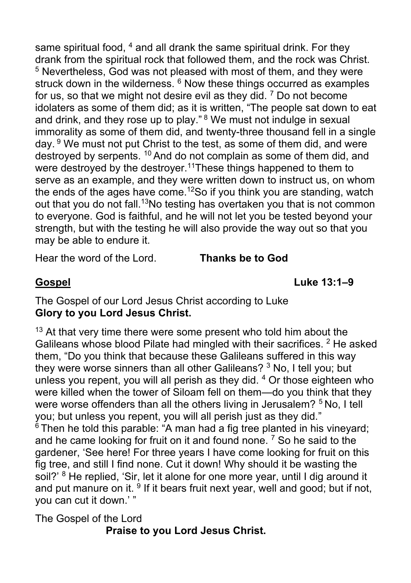same spiritual food, <sup>4</sup> and all drank the same spiritual drink. For they drank from the spiritual rock that followed them, and the rock was Christ. <sup>5</sup> Nevertheless, God was not pleased with most of them, and they were struck down in the wilderness.  $6$  Now these things occurred as examples for us, so that we might not desire evil as they did.  $7$  Do not become idolaters as some of them did; as it is written, "The people sat down to eat and drink, and they rose up to play." <sup>8</sup> We must not indulge in sexual immorality as some of them did, and twenty-three thousand fell in a single day. <sup>9</sup> We must not put Christ to the test, as some of them did, and were destroyed by serpents. 10 And do not complain as some of them did, and were destroyed by the destroyer.<sup>11</sup>These things happened to them to serve as an example, and they were written down to instruct us, on whom the ends of the ages have come.<sup>12</sup>So if you think you are standing, watch out that you do not fall.<sup>13</sup>No testing has overtaken you that is not common to everyone. God is faithful, and he will not let you be tested beyond your strength, but with the testing he will also provide the way out so that you may be able to endure it.

Hear the word of the Lord. **Thanks be to God**

**Gospel Luke 13:1–9**

The Gospel of our Lord Jesus Christ according to Luke **Glory to you Lord Jesus Christ.**

 $13$  At that very time there were some present who told him about the Galileans whose blood Pilate had mingled with their sacrifices. <sup>2</sup> He asked them, "Do you think that because these Galileans suffered in this way they were worse sinners than all other Galileans? <sup>3</sup> No, I tell you; but unless you repent, you will all perish as they did. 4 Or those eighteen who were killed when the tower of Siloam fell on them—do you think that they were worse offenders than all the others living in Jerusalem? <sup>5</sup> No, I tell you; but unless you repent, you will all perish just as they did."  $6$  Then he told this parable: "A man had a fig tree planted in his vineyard; and he came looking for fruit on it and found none.<sup>7</sup> So he said to the gardener, 'See here! For three years I have come looking for fruit on this fig tree, and still I find none. Cut it down! Why should it be wasting the soil?' <sup>8</sup> He replied, 'Sir, let it alone for one more year, until I dig around it and put manure on it.  $9$  If it bears fruit next year, well and good; but if not, you can cut it down.' "

The Gospel of the Lord **Praise to you Lord Jesus Christ.**